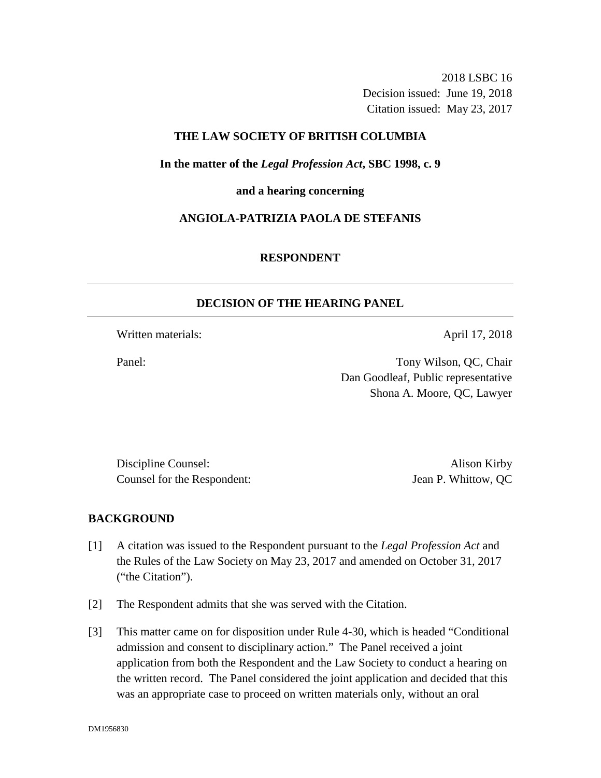2018 LSBC 16 Decision issued: June 19, 2018 Citation issued: May 23, 2017

# **THE LAW SOCIETY OF BRITISH COLUMBIA**

**In the matter of the** *Legal Profession Act***, SBC 1998, c. 9** 

**and a hearing concerning**

# **ANGIOLA-PATRIZIA PAOLA DE STEFANIS**

## **RESPONDENT**

## **DECISION OF THE HEARING PANEL**

Written materials: April 17, 2018

Panel: Tony Wilson, QC, Chair Dan Goodleaf, Public representative Shona A. Moore, QC, Lawyer

Discipline Counsel: Alison Kirby Counsel for the Respondent: Jean P. Whittow, QC

# **BACKGROUND**

- [1] A citation was issued to the Respondent pursuant to the *Legal Profession Act* and the Rules of the Law Society on May 23, 2017 and amended on October 31, 2017 ("the Citation").
- [2] The Respondent admits that she was served with the Citation.
- [3] This matter came on for disposition under Rule 4-30, which is headed "Conditional admission and consent to disciplinary action." The Panel received a joint application from both the Respondent and the Law Society to conduct a hearing on the written record. The Panel considered the joint application and decided that this was an appropriate case to proceed on written materials only, without an oral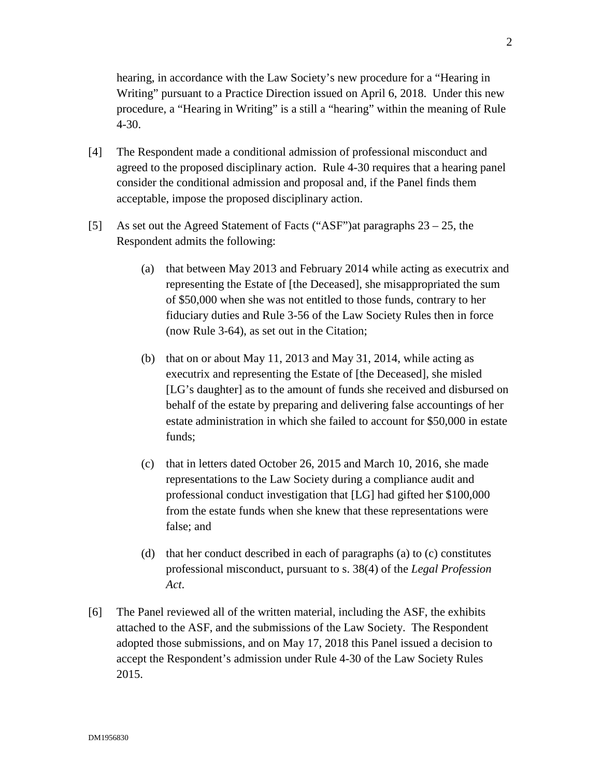hearing, in accordance with the Law Society's new procedure for a "Hearing in Writing" pursuant to a Practice Direction issued on April 6, 2018. Under this new procedure, a "Hearing in Writing" is a still a "hearing" within the meaning of Rule 4-30.

- [4] The Respondent made a conditional admission of professional misconduct and agreed to the proposed disciplinary action. Rule 4-30 requires that a hearing panel consider the conditional admission and proposal and, if the Panel finds them acceptable, impose the proposed disciplinary action.
- [5] As set out the Agreed Statement of Facts ("ASF")at paragraphs 23 25, the Respondent admits the following:
	- (a) that between May 2013 and February 2014 while acting as executrix and representing the Estate of [the Deceased], she misappropriated the sum of \$50,000 when she was not entitled to those funds, contrary to her fiduciary duties and Rule 3-56 of the Law Society Rules then in force (now Rule 3-64), as set out in the Citation;
	- (b) that on or about May 11, 2013 and May 31, 2014, while acting as executrix and representing the Estate of [the Deceased], she misled [LG's daughter] as to the amount of funds she received and disbursed on behalf of the estate by preparing and delivering false accountings of her estate administration in which she failed to account for \$50,000 in estate funds;
	- (c) that in letters dated October 26, 2015 and March 10, 2016, she made representations to the Law Society during a compliance audit and professional conduct investigation that [LG] had gifted her \$100,000 from the estate funds when she knew that these representations were false; and
	- (d) that her conduct described in each of paragraphs (a) to (c) constitutes professional misconduct, pursuant to s. 38(4) of the *Legal Profession Act*.
- [6] The Panel reviewed all of the written material, including the ASF, the exhibits attached to the ASF, and the submissions of the Law Society. The Respondent adopted those submissions, and on May 17, 2018 this Panel issued a decision to accept the Respondent's admission under Rule 4-30 of the Law Society Rules 2015.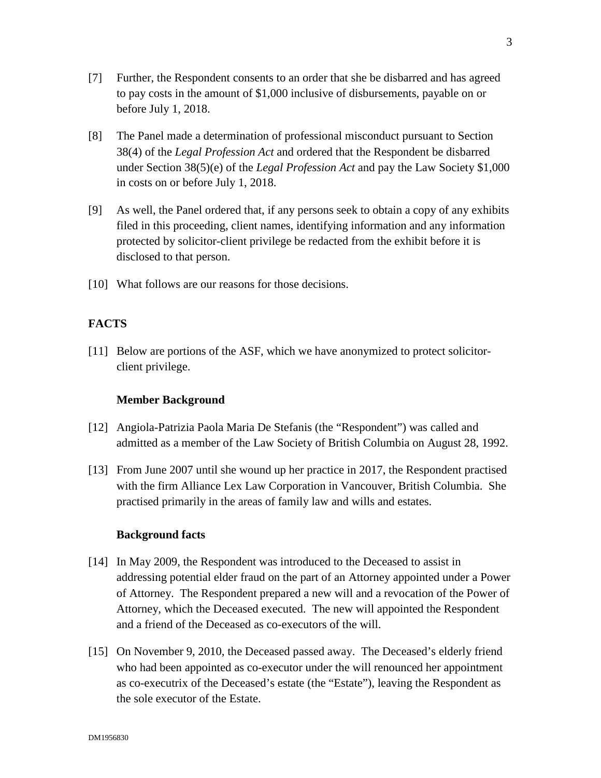- [7] Further, the Respondent consents to an order that she be disbarred and has agreed to pay costs in the amount of \$1,000 inclusive of disbursements, payable on or before July 1, 2018.
- [8] The Panel made a determination of professional misconduct pursuant to Section 38(4) of the *Legal Profession Act* and ordered that the Respondent be disbarred under Section 38(5)(e) of the *Legal Profession Act* and pay the Law Society \$1,000 in costs on or before July 1, 2018.
- [9] As well, the Panel ordered that, if any persons seek to obtain a copy of any exhibits filed in this proceeding, client names, identifying information and any information protected by solicitor-client privilege be redacted from the exhibit before it is disclosed to that person.
- [10] What follows are our reasons for those decisions.

# **FACTS**

[11] Below are portions of the ASF, which we have anonymized to protect solicitorclient privilege.

### **Member Background**

- [12] Angiola-Patrizia Paola Maria De Stefanis (the "Respondent") was called and admitted as a member of the Law Society of British Columbia on August 28, 1992.
- [13] From June 2007 until she wound up her practice in 2017, the Respondent practised with the firm Alliance Lex Law Corporation in Vancouver, British Columbia. She practised primarily in the areas of family law and wills and estates.

### **Background facts**

- [14] In May 2009, the Respondent was introduced to the Deceased to assist in addressing potential elder fraud on the part of an Attorney appointed under a Power of Attorney. The Respondent prepared a new will and a revocation of the Power of Attorney, which the Deceased executed. The new will appointed the Respondent and a friend of the Deceased as co-executors of the will.
- [15] On November 9, 2010, the Deceased passed away. The Deceased's elderly friend who had been appointed as co-executor under the will renounced her appointment as co-executrix of the Deceased's estate (the "Estate"), leaving the Respondent as the sole executor of the Estate.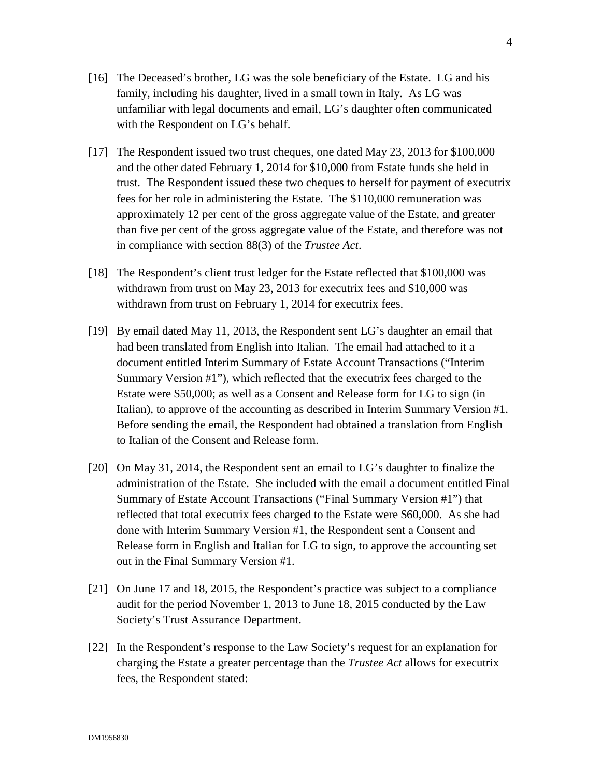- [16] The Deceased's brother, LG was the sole beneficiary of the Estate. LG and his family, including his daughter, lived in a small town in Italy. As LG was unfamiliar with legal documents and email, LG's daughter often communicated with the Respondent on LG's behalf.
- [17] The Respondent issued two trust cheques, one dated May 23, 2013 for \$100,000 and the other dated February 1, 2014 for \$10,000 from Estate funds she held in trust. The Respondent issued these two cheques to herself for payment of executrix fees for her role in administering the Estate. The \$110,000 remuneration was approximately 12 per cent of the gross aggregate value of the Estate, and greater than five per cent of the gross aggregate value of the Estate, and therefore was not in compliance with section 88(3) of the *Trustee Act*.
- [18] The Respondent's client trust ledger for the Estate reflected that \$100,000 was withdrawn from trust on May 23, 2013 for executrix fees and \$10,000 was withdrawn from trust on February 1, 2014 for executrix fees.
- [19] By email dated May 11, 2013, the Respondent sent LG's daughter an email that had been translated from English into Italian. The email had attached to it a document entitled Interim Summary of Estate Account Transactions ("Interim Summary Version #1"), which reflected that the executrix fees charged to the Estate were \$50,000; as well as a Consent and Release form for LG to sign (in Italian), to approve of the accounting as described in Interim Summary Version #1. Before sending the email, the Respondent had obtained a translation from English to Italian of the Consent and Release form.
- [20] On May 31, 2014, the Respondent sent an email to LG's daughter to finalize the administration of the Estate. She included with the email a document entitled Final Summary of Estate Account Transactions ("Final Summary Version #1") that reflected that total executrix fees charged to the Estate were \$60,000. As she had done with Interim Summary Version #1, the Respondent sent a Consent and Release form in English and Italian for LG to sign, to approve the accounting set out in the Final Summary Version #1.
- [21] On June 17 and 18, 2015, the Respondent's practice was subject to a compliance audit for the period November 1, 2013 to June 18, 2015 conducted by the Law Society's Trust Assurance Department.
- [22] In the Respondent's response to the Law Society's request for an explanation for charging the Estate a greater percentage than the *Trustee Act* allows for executrix fees, the Respondent stated: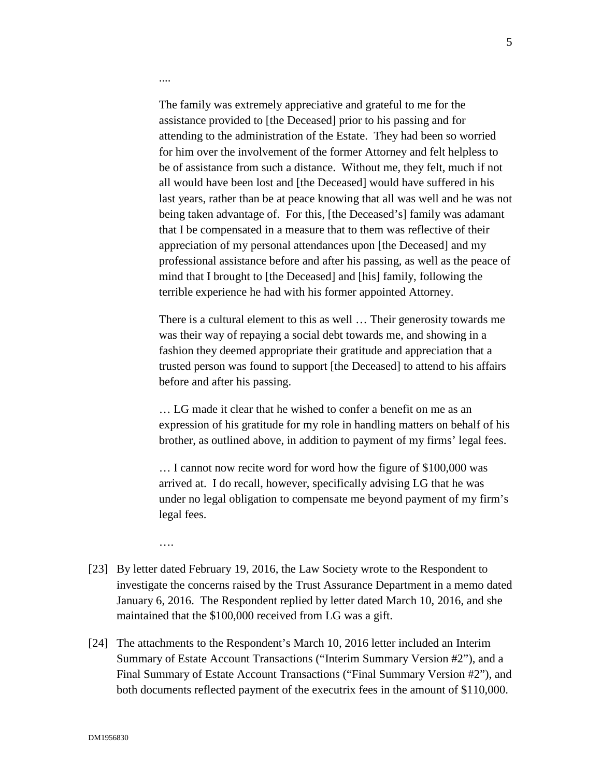The family was extremely appreciative and grateful to me for the assistance provided to [the Deceased] prior to his passing and for attending to the administration of the Estate. They had been so worried for him over the involvement of the former Attorney and felt helpless to be of assistance from such a distance. Without me, they felt, much if not all would have been lost and [the Deceased] would have suffered in his last years, rather than be at peace knowing that all was well and he was not being taken advantage of. For this, [the Deceased's] family was adamant that I be compensated in a measure that to them was reflective of their appreciation of my personal attendances upon [the Deceased] and my professional assistance before and after his passing, as well as the peace of mind that I brought to [the Deceased] and [his] family, following the terrible experience he had with his former appointed Attorney.

There is a cultural element to this as well … Their generosity towards me was their way of repaying a social debt towards me, and showing in a fashion they deemed appropriate their gratitude and appreciation that a trusted person was found to support [the Deceased] to attend to his affairs before and after his passing.

… LG made it clear that he wished to confer a benefit on me as an expression of his gratitude for my role in handling matters on behalf of his brother, as outlined above, in addition to payment of my firms' legal fees.

… I cannot now recite word for word how the figure of \$100,000 was arrived at. I do recall, however, specifically advising LG that he was under no legal obligation to compensate me beyond payment of my firm's legal fees.

….

....

- [23] By letter dated February 19, 2016, the Law Society wrote to the Respondent to investigate the concerns raised by the Trust Assurance Department in a memo dated January 6, 2016. The Respondent replied by letter dated March 10, 2016, and she maintained that the \$100,000 received from LG was a gift.
- [24] The attachments to the Respondent's March 10, 2016 letter included an Interim Summary of Estate Account Transactions ("Interim Summary Version #2"), and a Final Summary of Estate Account Transactions ("Final Summary Version #2"), and both documents reflected payment of the executrix fees in the amount of \$110,000.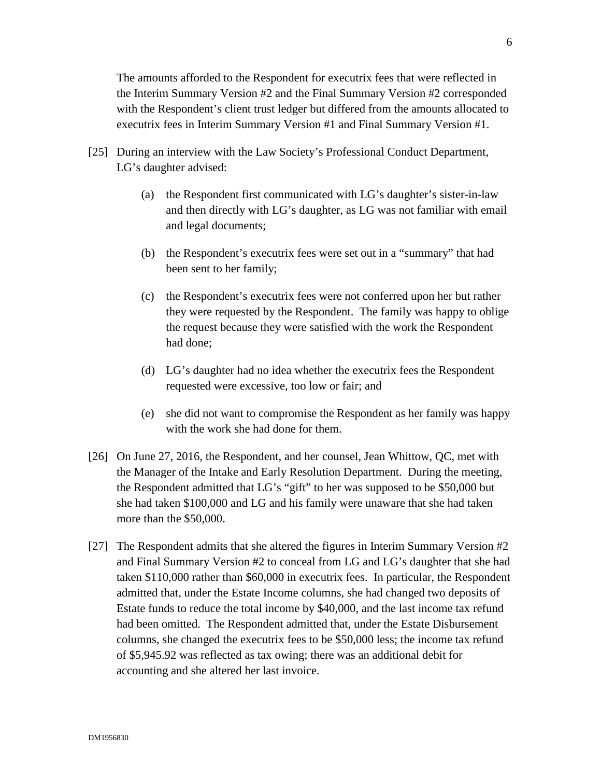The amounts afforded to the Respondent for executrix fees that were reflected in the Interim Summary Version #2 and the Final Summary Version #2 corresponded with the Respondent's client trust ledger but differed from the amounts allocated to executrix fees in Interim Summary Version #1 and Final Summary Version #1.

- [25] During an interview with the Law Society's Professional Conduct Department, LG's daughter advised:
	- (a) the Respondent first communicated with LG's daughter's sister-in-law and then directly with LG's daughter, as LG was not familiar with email and legal documents;
	- (b) the Respondent's executrix fees were set out in a "summary" that had been sent to her family;
	- (c) the Respondent's executrix fees were not conferred upon her but rather they were requested by the Respondent. The family was happy to oblige the request because they were satisfied with the work the Respondent had done;
	- (d) LG's daughter had no idea whether the executrix fees the Respondent requested were excessive, too low or fair; and
	- (e) she did not want to compromise the Respondent as her family was happy with the work she had done for them.
- [26] On June 27, 2016, the Respondent, and her counsel, Jean Whittow, QC, met with the Manager of the Intake and Early Resolution Department. During the meeting, the Respondent admitted that LG's "gift" to her was supposed to be \$50,000 but she had taken \$100,000 and LG and his family were unaware that she had taken more than the \$50,000.
- [27] The Respondent admits that she altered the figures in Interim Summary Version #2 and Final Summary Version #2 to conceal from LG and LG's daughter that she had taken \$110,000 rather than \$60,000 in executrix fees. In particular, the Respondent admitted that, under the Estate Income columns, she had changed two deposits of Estate funds to reduce the total income by \$40,000, and the last income tax refund had been omitted. The Respondent admitted that, under the Estate Disbursement columns, she changed the executrix fees to be \$50,000 less; the income tax refund of \$5,945.92 was reflected as tax owing; there was an additional debit for accounting and she altered her last invoice.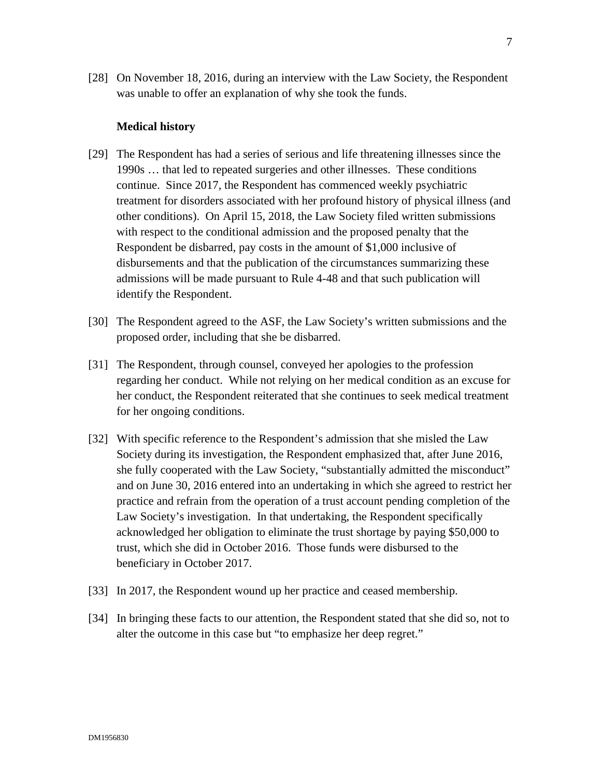[28] On November 18, 2016, during an interview with the Law Society, the Respondent was unable to offer an explanation of why she took the funds.

#### **Medical history**

- [29] The Respondent has had a series of serious and life threatening illnesses since the 1990s … that led to repeated surgeries and other illnesses. These conditions continue. Since 2017, the Respondent has commenced weekly psychiatric treatment for disorders associated with her profound history of physical illness (and other conditions). On April 15, 2018, the Law Society filed written submissions with respect to the conditional admission and the proposed penalty that the Respondent be disbarred, pay costs in the amount of \$1,000 inclusive of disbursements and that the publication of the circumstances summarizing these admissions will be made pursuant to Rule 4-48 and that such publication will identify the Respondent.
- [30] The Respondent agreed to the ASF, the Law Society's written submissions and the proposed order, including that she be disbarred.
- [31] The Respondent, through counsel, conveyed her apologies to the profession regarding her conduct. While not relying on her medical condition as an excuse for her conduct, the Respondent reiterated that she continues to seek medical treatment for her ongoing conditions.
- [32] With specific reference to the Respondent's admission that she misled the Law Society during its investigation, the Respondent emphasized that, after June 2016, she fully cooperated with the Law Society, "substantially admitted the misconduct" and on June 30, 2016 entered into an undertaking in which she agreed to restrict her practice and refrain from the operation of a trust account pending completion of the Law Society's investigation. In that undertaking, the Respondent specifically acknowledged her obligation to eliminate the trust shortage by paying \$50,000 to trust, which she did in October 2016. Those funds were disbursed to the beneficiary in October 2017.
- [33] In 2017, the Respondent wound up her practice and ceased membership.
- [34] In bringing these facts to our attention, the Respondent stated that she did so, not to alter the outcome in this case but "to emphasize her deep regret."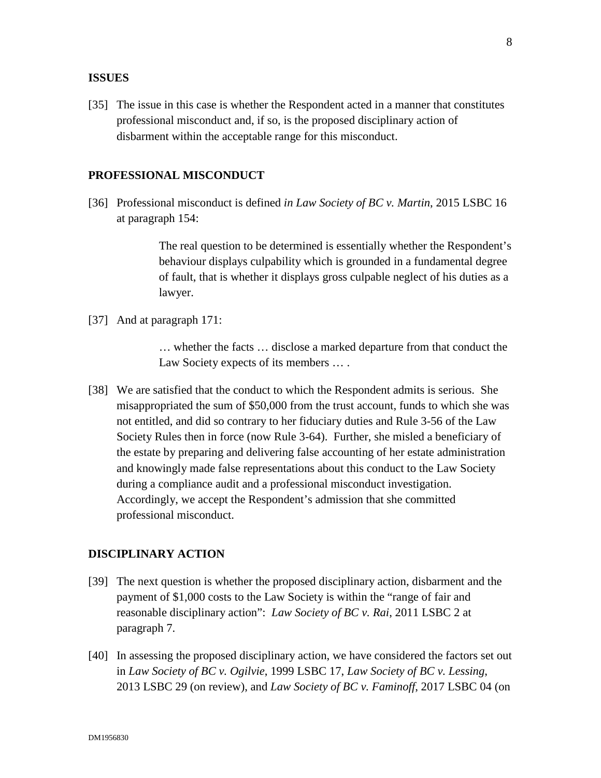# **ISSUES**

[35] The issue in this case is whether the Respondent acted in a manner that constitutes professional misconduct and, if so, is the proposed disciplinary action of disbarment within the acceptable range for this misconduct.

### **PROFESSIONAL MISCONDUCT**

[36] Professional misconduct is defined *in Law Society of BC v. Martin*, 2015 LSBC 16 at paragraph 154:

> The real question to be determined is essentially whether the Respondent's behaviour displays culpability which is grounded in a fundamental degree of fault, that is whether it displays gross culpable neglect of his duties as a lawyer.

[37] And at paragraph 171:

… whether the facts … disclose a marked departure from that conduct the Law Society expects of its members ....

[38] We are satisfied that the conduct to which the Respondent admits is serious. She misappropriated the sum of \$50,000 from the trust account, funds to which she was not entitled, and did so contrary to her fiduciary duties and Rule 3-56 of the Law Society Rules then in force (now Rule 3-64). Further, she misled a beneficiary of the estate by preparing and delivering false accounting of her estate administration and knowingly made false representations about this conduct to the Law Society during a compliance audit and a professional misconduct investigation. Accordingly, we accept the Respondent's admission that she committed professional misconduct.

# **DISCIPLINARY ACTION**

- [39] The next question is whether the proposed disciplinary action, disbarment and the payment of \$1,000 costs to the Law Society is within the "range of fair and reasonable disciplinary action": *Law Society of BC v. Rai*, 2011 LSBC 2 at paragraph 7.
- [40] In assessing the proposed disciplinary action, we have considered the factors set out in *Law Society of BC v. Ogilvie*, 1999 LSBC 17, *Law Society of BC v. Lessing*, 2013 LSBC 29 (on review), and *Law Society of BC v. Faminoff*, 2017 LSBC 04 (on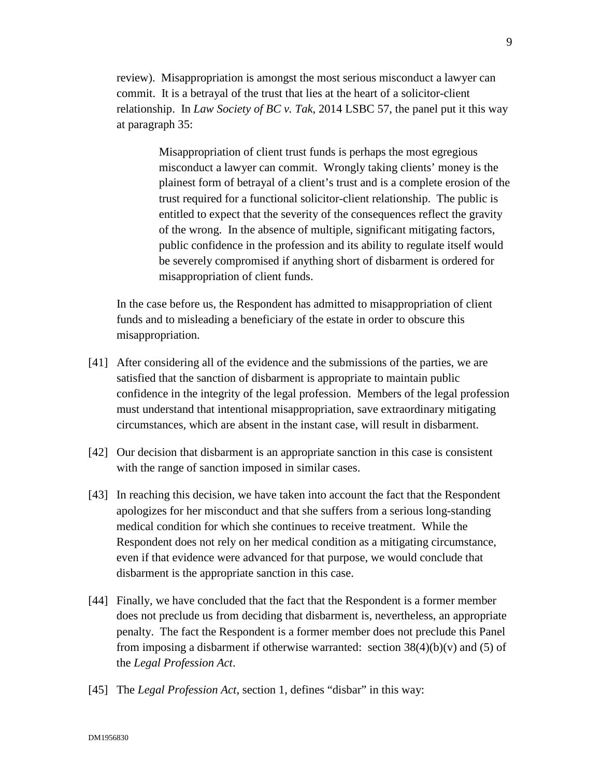review). Misappropriation is amongst the most serious misconduct a lawyer can commit. It is a betrayal of the trust that lies at the heart of a solicitor-client relationship. In *Law Society of BC v. Tak*, 2014 LSBC 57, the panel put it this way at paragraph 35:

> Misappropriation of client trust funds is perhaps the most egregious misconduct a lawyer can commit. Wrongly taking clients' money is the plainest form of betrayal of a client's trust and is a complete erosion of the trust required for a functional solicitor-client relationship. The public is entitled to expect that the severity of the consequences reflect the gravity of the wrong. In the absence of multiple, significant mitigating factors, public confidence in the profession and its ability to regulate itself would be severely compromised if anything short of disbarment is ordered for misappropriation of client funds.

In the case before us, the Respondent has admitted to misappropriation of client funds and to misleading a beneficiary of the estate in order to obscure this misappropriation.

- [41] After considering all of the evidence and the submissions of the parties, we are satisfied that the sanction of disbarment is appropriate to maintain public confidence in the integrity of the legal profession. Members of the legal profession must understand that intentional misappropriation, save extraordinary mitigating circumstances, which are absent in the instant case, will result in disbarment.
- [42] Our decision that disbarment is an appropriate sanction in this case is consistent with the range of sanction imposed in similar cases.
- [43] In reaching this decision, we have taken into account the fact that the Respondent apologizes for her misconduct and that she suffers from a serious long-standing medical condition for which she continues to receive treatment. While the Respondent does not rely on her medical condition as a mitigating circumstance, even if that evidence were advanced for that purpose, we would conclude that disbarment is the appropriate sanction in this case.
- [44] Finally, we have concluded that the fact that the Respondent is a former member does not preclude us from deciding that disbarment is, nevertheless, an appropriate penalty. The fact the Respondent is a former member does not preclude this Panel from imposing a disbarment if otherwise warranted: section  $38(4)(b)(v)$  and (5) of the *Legal Profession Act*.
- [45] The *Legal Profession Act*, section 1, defines "disbar" in this way: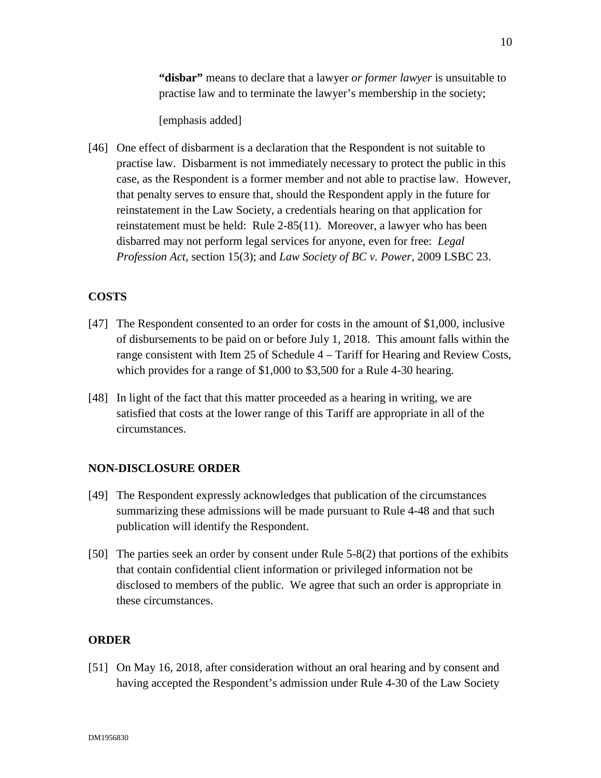**"disbar"** means to declare that a lawyer *or former lawyer* is unsuitable to practise law and to terminate the lawyer's membership in the society;

[emphasis added]

[46] One effect of disbarment is a declaration that the Respondent is not suitable to practise law. Disbarment is not immediately necessary to protect the public in this case, as the Respondent is a former member and not able to practise law. However, that penalty serves to ensure that, should the Respondent apply in the future for reinstatement in the Law Society, a credentials hearing on that application for reinstatement must be held: Rule 2-85(11). Moreover, a lawyer who has been disbarred may not perform legal services for anyone, even for free: *Legal Profession Act*, section 15(3); and *Law Society of BC v. Power*, 2009 LSBC 23.

# **COSTS**

- [47] The Respondent consented to an order for costs in the amount of \$1,000, inclusive of disbursements to be paid on or before July 1, 2018. This amount falls within the range consistent with Item 25 of Schedule 4 – Tariff for Hearing and Review Costs, which provides for a range of \$1,000 to \$3,500 for a Rule 4-30 hearing.
- [48] In light of the fact that this matter proceeded as a hearing in writing, we are satisfied that costs at the lower range of this Tariff are appropriate in all of the circumstances.

# **NON-DISCLOSURE ORDER**

- [49] The Respondent expressly acknowledges that publication of the circumstances summarizing these admissions will be made pursuant to Rule 4-48 and that such publication will identify the Respondent.
- [50] The parties seek an order by consent under Rule 5-8(2) that portions of the exhibits that contain confidential client information or privileged information not be disclosed to members of the public. We agree that such an order is appropriate in these circumstances.

# **ORDER**

[51] On May 16, 2018, after consideration without an oral hearing and by consent and having accepted the Respondent's admission under Rule 4-30 of the Law Society